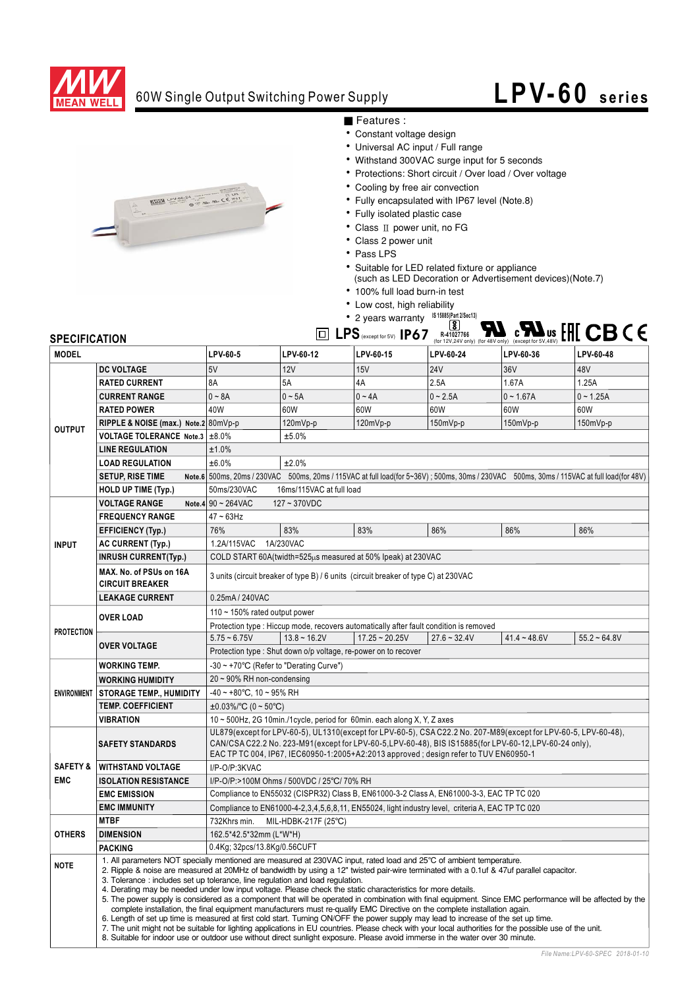

## 60W Single Output Switching Power Supply

## **LPV-60 series**



■ Features :

- Constant voltage design
- Universal AC input / Full range
- Withstand 300VAC surge input for 5 seconds
- Protections: Short circuit / Over load / Over voltage
- Cooling by free air convection
- Fully encapsulated with IP67 level (Note.8)
- Fully isolated plastic case
- Class II power unit, no FG
- Class 2 power unit
- $\cdot$  Pass LPS
- Suitable for LED related fixture or appliance
	- (such as LED Decoration or Advertisement devices) (Note.7)
- 100% full load burn-in test
- Low cost, high reliability
- <sup>8</sup> 2 years warranty <sup>IS 15885(Part 2/Sec13)</sup>

## $LPS$  (except for 5V)  $IP67$   $\overset{\{8\}}{\underset{\text{(for 12V,24V only (for 48V only) (except for 5V,48V)}}{R}}$

| <b>SPECIFICATION</b> |                                                                           |                                                                                                                                                                                                                                                                                                                                                                                                                                                                                                                                                                                                                                                                                                                                                                                                                                                                                                                                                                                                                                                                                                                                                                                                |                                                                 | $\boxed{\square}$ LPS (except for 5V) IP67 |                |                | R-41027766 <b>C C C C US US LITE OF A RAY 2013</b> (for 12V, 24V only) (for 48V only) (except for 5V, 48V) |  |
|----------------------|---------------------------------------------------------------------------|------------------------------------------------------------------------------------------------------------------------------------------------------------------------------------------------------------------------------------------------------------------------------------------------------------------------------------------------------------------------------------------------------------------------------------------------------------------------------------------------------------------------------------------------------------------------------------------------------------------------------------------------------------------------------------------------------------------------------------------------------------------------------------------------------------------------------------------------------------------------------------------------------------------------------------------------------------------------------------------------------------------------------------------------------------------------------------------------------------------------------------------------------------------------------------------------|-----------------------------------------------------------------|--------------------------------------------|----------------|----------------|------------------------------------------------------------------------------------------------------------|--|
| <b>MODEL</b>         |                                                                           | LPV-60-5                                                                                                                                                                                                                                                                                                                                                                                                                                                                                                                                                                                                                                                                                                                                                                                                                                                                                                                                                                                                                                                                                                                                                                                       | LPV-60-12                                                       | LPV-60-15                                  | LPV-60-24      | LPV-60-36      | LPV-60-48                                                                                                  |  |
| <b>OUTPUT</b>        | <b>DC VOLTAGE</b>                                                         | 5V                                                                                                                                                                                                                                                                                                                                                                                                                                                                                                                                                                                                                                                                                                                                                                                                                                                                                                                                                                                                                                                                                                                                                                                             | 12V                                                             | 15V                                        | <b>24V</b>     | 36V            | 48V                                                                                                        |  |
|                      | <b>RATED CURRENT</b>                                                      | 8A                                                                                                                                                                                                                                                                                                                                                                                                                                                                                                                                                                                                                                                                                                                                                                                                                                                                                                                                                                                                                                                                                                                                                                                             | 5A                                                              | 4A                                         | 2.5A           | 1.67A          | 1.25A                                                                                                      |  |
|                      | <b>CURRENT RANGE</b>                                                      | $0 - 8A$                                                                                                                                                                                                                                                                                                                                                                                                                                                                                                                                                                                                                                                                                                                                                                                                                                                                                                                                                                                                                                                                                                                                                                                       | $0 \sim 5A$                                                     | $0 - 4A$                                   | $0 - 2.5A$     | $0 - 1.67A$    | $0 - 1.25A$                                                                                                |  |
|                      | <b>RATED POWER</b>                                                        | 40W                                                                                                                                                                                                                                                                                                                                                                                                                                                                                                                                                                                                                                                                                                                                                                                                                                                                                                                                                                                                                                                                                                                                                                                            | 60W                                                             | 60W                                        | 60W            | 60W            | 60W                                                                                                        |  |
|                      | RIPPLE & NOISE (max.) Note.2 80mVp-p                                      |                                                                                                                                                                                                                                                                                                                                                                                                                                                                                                                                                                                                                                                                                                                                                                                                                                                                                                                                                                                                                                                                                                                                                                                                | 120mVp-p                                                        | 120mVp-p                                   | 150mVp-p       | 150mVp-p       | 150mVp-p                                                                                                   |  |
|                      | <b>VOLTAGE TOLERANCE Note.3</b>                                           | ±8.0%                                                                                                                                                                                                                                                                                                                                                                                                                                                                                                                                                                                                                                                                                                                                                                                                                                                                                                                                                                                                                                                                                                                                                                                          | ±5.0%                                                           |                                            |                |                |                                                                                                            |  |
|                      | <b>LINE REGULATION</b>                                                    | ±1.0%                                                                                                                                                                                                                                                                                                                                                                                                                                                                                                                                                                                                                                                                                                                                                                                                                                                                                                                                                                                                                                                                                                                                                                                          |                                                                 |                                            |                |                |                                                                                                            |  |
|                      | <b>LOAD REGULATION</b>                                                    | ±6.0%<br>±2.0%                                                                                                                                                                                                                                                                                                                                                                                                                                                                                                                                                                                                                                                                                                                                                                                                                                                                                                                                                                                                                                                                                                                                                                                 |                                                                 |                                            |                |                |                                                                                                            |  |
|                      | <b>SETUP, RISE TIME</b>                                                   | Note.6 500ms, 20ms / 230VAC 500ms, 20ms / 115VAC at full load(for 5~36V); 500ms, 30ms / 230VAC 500ms, 30ms / 115VAC at full load(for 48V)                                                                                                                                                                                                                                                                                                                                                                                                                                                                                                                                                                                                                                                                                                                                                                                                                                                                                                                                                                                                                                                      |                                                                 |                                            |                |                |                                                                                                            |  |
|                      | HOLD UP TIME (Typ.)                                                       | 50ms/230VAC<br>16ms/115VAC at full load                                                                                                                                                                                                                                                                                                                                                                                                                                                                                                                                                                                                                                                                                                                                                                                                                                                                                                                                                                                                                                                                                                                                                        |                                                                 |                                            |                |                |                                                                                                            |  |
|                      | <b>VOLTAGE RANGE</b>                                                      | Note.4 $90 - 264$ VAC<br>127~370VDC                                                                                                                                                                                                                                                                                                                                                                                                                                                                                                                                                                                                                                                                                                                                                                                                                                                                                                                                                                                                                                                                                                                                                            |                                                                 |                                            |                |                |                                                                                                            |  |
| <b>INPUT</b>         | <b>FREQUENCY RANGE</b>                                                    | $47 \sim 63$ Hz                                                                                                                                                                                                                                                                                                                                                                                                                                                                                                                                                                                                                                                                                                                                                                                                                                                                                                                                                                                                                                                                                                                                                                                |                                                                 |                                            |                |                |                                                                                                            |  |
|                      | <b>EFFICIENCY (Typ.)</b>                                                  | 76%                                                                                                                                                                                                                                                                                                                                                                                                                                                                                                                                                                                                                                                                                                                                                                                                                                                                                                                                                                                                                                                                                                                                                                                            | 83%                                                             | 83%                                        | 86%            | 86%            | 86%                                                                                                        |  |
|                      | <b>AC CURRENT (Typ.)</b>                                                  | 1.2A/115VAC<br>1A/230VAC                                                                                                                                                                                                                                                                                                                                                                                                                                                                                                                                                                                                                                                                                                                                                                                                                                                                                                                                                                                                                                                                                                                                                                       |                                                                 |                                            |                |                |                                                                                                            |  |
|                      | <b>INRUSH CURRENT(Typ.)</b>                                               | COLD START 60A(twidth=525us measured at 50% Ipeak) at 230VAC                                                                                                                                                                                                                                                                                                                                                                                                                                                                                                                                                                                                                                                                                                                                                                                                                                                                                                                                                                                                                                                                                                                                   |                                                                 |                                            |                |                |                                                                                                            |  |
|                      | MAX. No. of PSUs on 16A<br><b>CIRCUIT BREAKER</b>                         | 3 units (circuit breaker of type B) / 6 units (circuit breaker of type C) at 230VAC                                                                                                                                                                                                                                                                                                                                                                                                                                                                                                                                                                                                                                                                                                                                                                                                                                                                                                                                                                                                                                                                                                            |                                                                 |                                            |                |                |                                                                                                            |  |
|                      | <b>LEAKAGE CURRENT</b>                                                    | 0.25mA / 240VAC                                                                                                                                                                                                                                                                                                                                                                                                                                                                                                                                                                                                                                                                                                                                                                                                                                                                                                                                                                                                                                                                                                                                                                                |                                                                 |                                            |                |                |                                                                                                            |  |
| <b>PROTECTION</b>    | <b>OVER LOAD</b>                                                          | 110 $\sim$ 150% rated output power                                                                                                                                                                                                                                                                                                                                                                                                                                                                                                                                                                                                                                                                                                                                                                                                                                                                                                                                                                                                                                                                                                                                                             |                                                                 |                                            |                |                |                                                                                                            |  |
|                      |                                                                           | Protection type : Hiccup mode, recovers automatically after fault condition is removed                                                                                                                                                                                                                                                                                                                                                                                                                                                                                                                                                                                                                                                                                                                                                                                                                                                                                                                                                                                                                                                                                                         |                                                                 |                                            |                |                |                                                                                                            |  |
|                      | <b>OVER VOLTAGE</b>                                                       | $5.75 - 6.75V$                                                                                                                                                                                                                                                                                                                                                                                                                                                                                                                                                                                                                                                                                                                                                                                                                                                                                                                                                                                                                                                                                                                                                                                 | $13.8 - 16.2V$                                                  | $17.25 - 20.25V$                           | $27.6 - 32.4V$ | $41.4 - 48.6V$ | $55.2 - 64.8V$                                                                                             |  |
|                      |                                                                           |                                                                                                                                                                                                                                                                                                                                                                                                                                                                                                                                                                                                                                                                                                                                                                                                                                                                                                                                                                                                                                                                                                                                                                                                | Protection type : Shut down o/p voltage, re-power on to recover |                                            |                |                |                                                                                                            |  |
| <b>ENVIRONMENT</b>   | <b>WORKING TEMP.</b>                                                      | -30 ~ +70°C (Refer to "Derating Curve")                                                                                                                                                                                                                                                                                                                                                                                                                                                                                                                                                                                                                                                                                                                                                                                                                                                                                                                                                                                                                                                                                                                                                        |                                                                 |                                            |                |                |                                                                                                            |  |
|                      | <b>WORKING HUMIDITY</b>                                                   | $20 \sim 90\%$ RH non-condensing                                                                                                                                                                                                                                                                                                                                                                                                                                                                                                                                                                                                                                                                                                                                                                                                                                                                                                                                                                                                                                                                                                                                                               |                                                                 |                                            |                |                |                                                                                                            |  |
|                      | <b>STORAGE TEMP., HUMIDITY</b>                                            | $-40 \sim +80^{\circ}$ C, 10 ~ 95% RH                                                                                                                                                                                                                                                                                                                                                                                                                                                                                                                                                                                                                                                                                                                                                                                                                                                                                                                                                                                                                                                                                                                                                          |                                                                 |                                            |                |                |                                                                                                            |  |
|                      | <b>TEMP. COEFFICIENT</b>                                                  | $\pm 0.03\%$ °C (0 ~ 50°C)                                                                                                                                                                                                                                                                                                                                                                                                                                                                                                                                                                                                                                                                                                                                                                                                                                                                                                                                                                                                                                                                                                                                                                     |                                                                 |                                            |                |                |                                                                                                            |  |
|                      | <b>VIBRATION</b>                                                          | 10 ~ 500Hz, 2G 10min./1cycle, period for 60min. each along X, Y, Z axes                                                                                                                                                                                                                                                                                                                                                                                                                                                                                                                                                                                                                                                                                                                                                                                                                                                                                                                                                                                                                                                                                                                        |                                                                 |                                            |                |                |                                                                                                            |  |
|                      | <b>SAFETY STANDARDS</b>                                                   | UL879(except for LPV-60-5), UL1310(except for LPV-60-5), CSA C22.2 No. 207-M89(except for LPV-60-5, LPV-60-48),<br>CAN/CSA C22.2 No. 223-M91(except for LPV-60-5, LPV-60-48), BIS IS15885(for LPV-60-12, LPV-60-24 only),<br>EAC TP TC 004, IP67, IEC60950-1:2005+A2:2013 approved; design refer to TUV EN60950-1                                                                                                                                                                                                                                                                                                                                                                                                                                                                                                                                                                                                                                                                                                                                                                                                                                                                              |                                                                 |                                            |                |                |                                                                                                            |  |
| <b>SAFETY &amp;</b>  | <b>WITHSTAND VOLTAGE</b>                                                  | I/P-O/P:3KVAC                                                                                                                                                                                                                                                                                                                                                                                                                                                                                                                                                                                                                                                                                                                                                                                                                                                                                                                                                                                                                                                                                                                                                                                  |                                                                 |                                            |                |                |                                                                                                            |  |
| <b>EMC</b>           | <b>ISOLATION RESISTANCE</b><br>I/P-O/P:>100M Ohms / 500VDC / 25°C/ 70% RH |                                                                                                                                                                                                                                                                                                                                                                                                                                                                                                                                                                                                                                                                                                                                                                                                                                                                                                                                                                                                                                                                                                                                                                                                |                                                                 |                                            |                |                |                                                                                                            |  |
|                      | <b>EMC EMISSION</b>                                                       | Compliance to EN55032 (CISPR32) Class B, EN61000-3-2 Class A, EN61000-3-3, EAC TP TC 020                                                                                                                                                                                                                                                                                                                                                                                                                                                                                                                                                                                                                                                                                                                                                                                                                                                                                                                                                                                                                                                                                                       |                                                                 |                                            |                |                |                                                                                                            |  |
|                      | <b>EMC IMMUNITY</b>                                                       | Compliance to EN61000-4-2,3,4,5,6,8,11, EN55024, light industry level, criteria A, EAC TP TC 020                                                                                                                                                                                                                                                                                                                                                                                                                                                                                                                                                                                                                                                                                                                                                                                                                                                                                                                                                                                                                                                                                               |                                                                 |                                            |                |                |                                                                                                            |  |
|                      | <b>MTBF</b><br>732Khrs min.<br>MIL-HDBK-217F (25°C)                       |                                                                                                                                                                                                                                                                                                                                                                                                                                                                                                                                                                                                                                                                                                                                                                                                                                                                                                                                                                                                                                                                                                                                                                                                |                                                                 |                                            |                |                |                                                                                                            |  |
| <b>OTHERS</b>        | <b>DIMENSION</b>                                                          | 162.5*42.5*32mm (L*W*H)                                                                                                                                                                                                                                                                                                                                                                                                                                                                                                                                                                                                                                                                                                                                                                                                                                                                                                                                                                                                                                                                                                                                                                        |                                                                 |                                            |                |                |                                                                                                            |  |
|                      | <b>PACKING</b>                                                            | 0.4Kg; 32pcs/13.8Kg/0.56CUFT                                                                                                                                                                                                                                                                                                                                                                                                                                                                                                                                                                                                                                                                                                                                                                                                                                                                                                                                                                                                                                                                                                                                                                   |                                                                 |                                            |                |                |                                                                                                            |  |
| <b>NOTE</b>          |                                                                           | 1. All parameters NOT specially mentioned are measured at 230VAC input, rated load and 25°C of ambient temperature.<br>2. Ripple & noise are measured at 20MHz of bandwidth by using a 12" twisted pair-wire terminated with a 0.1uf & 47uf parallel capacitor.<br>3. Tolerance : includes set up tolerance, line regulation and load regulation.<br>4. Derating may be needed under low input voltage. Please check the static characteristics for more details.<br>5. The power supply is considered as a component that will be operated in combination with final equipment. Since EMC performance will be affected by the<br>complete installation, the final equipment manufacturers must re-qualify EMC Directive on the complete installation again.<br>6. Length of set up time is measured at first cold start. Turning ON/OFF the power supply may lead to increase of the set up time.<br>7. The unit might not be suitable for lighting applications in EU countries. Please check with your local authorities for the possible use of the unit.<br>8. Suitable for indoor use or outdoor use without direct sunlight exposure. Please avoid immerse in the water over 30 minute. |                                                                 |                                            |                |                |                                                                                                            |  |